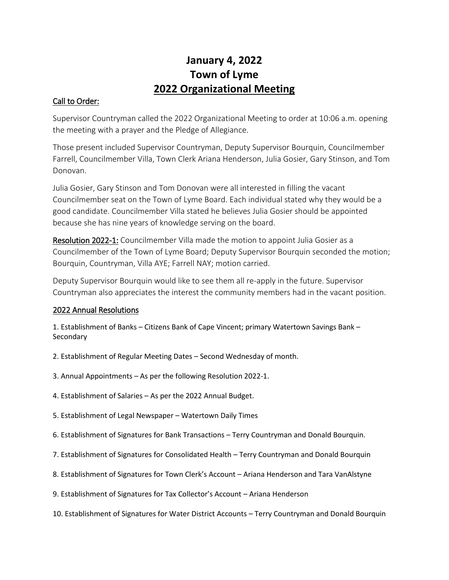# **January 4, 2022 Town of Lyme 2022 Organizational Meeting**

#### Call to Order:

Supervisor Countryman called the 2022 Organizational Meeting to order at 10:06 a.m. opening the meeting with a prayer and the Pledge of Allegiance.

Those present included Supervisor Countryman, Deputy Supervisor Bourquin, Councilmember Farrell, Councilmember Villa, Town Clerk Ariana Henderson, Julia Gosier, Gary Stinson, and Tom Donovan.

Julia Gosier, Gary Stinson and Tom Donovan were all interested in filling the vacant Councilmember seat on the Town of Lyme Board. Each individual stated why they would be a good candidate. Councilmember Villa stated he believes Julia Gosier should be appointed because she has nine years of knowledge serving on the board.

Resolution 2022-1: Councilmember Villa made the motion to appoint Julia Gosier as a Councilmember of the Town of Lyme Board; Deputy Supervisor Bourquin seconded the motion; Bourquin, Countryman, Villa AYE; Farrell NAY; motion carried.

Deputy Supervisor Bourquin would like to see them all re-apply in the future. Supervisor Countryman also appreciates the interest the community members had in the vacant position.

### 2022 Annual Resolutions

1. Establishment of Banks – Citizens Bank of Cape Vincent; primary Watertown Savings Bank – Secondary

- 2. Establishment of Regular Meeting Dates Second Wednesday of month.
- 3. Annual Appointments As per the following Resolution 2022-1.
- 4. Establishment of Salaries As per the 2022 Annual Budget.
- 5. Establishment of Legal Newspaper Watertown Daily Times
- 6. Establishment of Signatures for Bank Transactions Terry Countryman and Donald Bourquin.
- 7. Establishment of Signatures for Consolidated Health Terry Countryman and Donald Bourquin
- 8. Establishment of Signatures for Town Clerk's Account Ariana Henderson and Tara VanAlstyne
- 9. Establishment of Signatures for Tax Collector's Account Ariana Henderson
- 10. Establishment of Signatures for Water District Accounts Terry Countryman and Donald Bourquin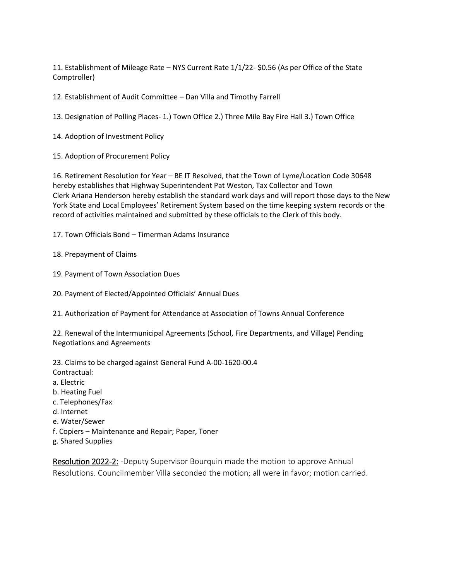11. Establishment of Mileage Rate – NYS Current Rate 1/1/22- \$0.56 (As per Office of the State Comptroller)

12. Establishment of Audit Committee – Dan Villa and Timothy Farrell

13. Designation of Polling Places- 1.) Town Office 2.) Three Mile Bay Fire Hall 3.) Town Office

- 14. Adoption of Investment Policy
- 15. Adoption of Procurement Policy

16. Retirement Resolution for Year – BE IT Resolved, that the Town of Lyme/Location Code 30648 hereby establishes that Highway Superintendent Pat Weston, Tax Collector and Town Clerk Ariana Henderson hereby establish the standard work days and will report those days to the New York State and Local Employees' Retirement System based on the time keeping system records or the record of activities maintained and submitted by these officials to the Clerk of this body.

17. Town Officials Bond – Timerman Adams Insurance

18. Prepayment of Claims

19. Payment of Town Association Dues

20. Payment of Elected/Appointed Officials' Annual Dues

21. Authorization of Payment for Attendance at Association of Towns Annual Conference

22. Renewal of the Intermunicipal Agreements (School, Fire Departments, and Village) Pending Negotiations and Agreements

23. Claims to be charged against General Fund A-00-1620-00.4 Contractual: a. Electric b. Heating Fuel c. Telephones/Fax d. Internet e. Water/Sewer f. Copiers – Maintenance and Repair; Paper, Toner g. Shared Supplies

Resolution 2022-2: -Deputy Supervisor Bourquin made the motion to approve Annual Resolutions. Councilmember Villa seconded the motion; all were in favor; motion carried.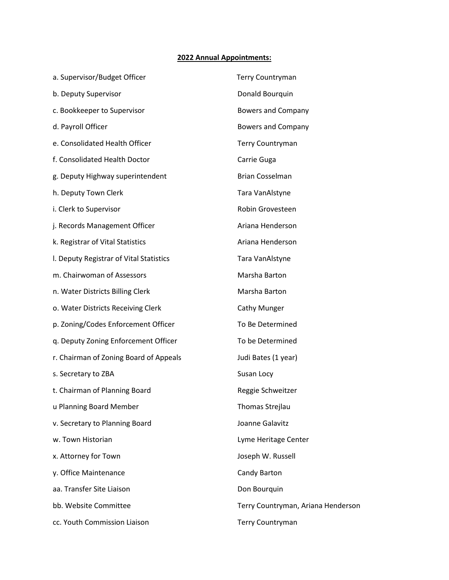#### **2022 Annual Appointments:**

| a. Supervisor/Budget Officer            | <b>Terry Countryman</b>            |
|-----------------------------------------|------------------------------------|
| b. Deputy Supervisor                    | Donald Bourquin                    |
| c. Bookkeeper to Supervisor             | <b>Bowers and Company</b>          |
| d. Payroll Officer                      | <b>Bowers and Company</b>          |
| e. Consolidated Health Officer          | Terry Countryman                   |
| f. Consolidated Health Doctor           | Carrie Guga                        |
| g. Deputy Highway superintendent        | <b>Brian Cosselman</b>             |
| h. Deputy Town Clerk                    | Tara VanAlstyne                    |
| i. Clerk to Supervisor                  | Robin Grovesteen                   |
| j. Records Management Officer           | Ariana Henderson                   |
| k. Registrar of Vital Statistics        | Ariana Henderson                   |
| I. Deputy Registrar of Vital Statistics | Tara VanAlstyne                    |
| m. Chairwoman of Assessors              | Marsha Barton                      |
| n. Water Districts Billing Clerk        | Marsha Barton                      |
| o. Water Districts Receiving Clerk      | Cathy Munger                       |
| p. Zoning/Codes Enforcement Officer     | To Be Determined                   |
| q. Deputy Zoning Enforcement Officer    | To be Determined                   |
| r. Chairman of Zoning Board of Appeals  | Judi Bates (1 year)                |
| s. Secretary to ZBA                     | Susan Locy                         |
| t. Chairman of Planning Board           | Reggie Schweitzer                  |
| u Planning Board Member                 | Thomas Strejlau                    |
| v. Secretary to Planning Board          | Joanne Galavitz                    |
| w. Town Historian                       | Lyme Heritage Center               |
| x. Attorney for Town                    | Joseph W. Russell                  |
| y. Office Maintenance                   | Candy Barton                       |
| aa. Transfer Site Liaison               | Don Bourquin                       |
| bb. Website Committee                   | Terry Countryman, Ariana Henderson |
| cc. Youth Commission Liaison            | Terry Countryman                   |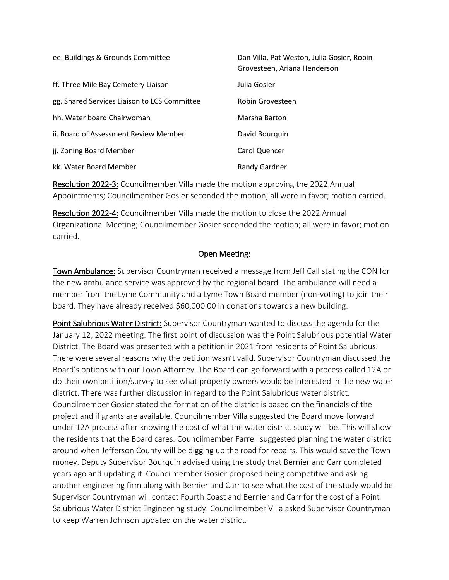| ee. Buildings & Grounds Committee            | Dan Villa, Pat Weston, Julia Gosier, Robin<br>Grovesteen, Ariana Henderson |
|----------------------------------------------|----------------------------------------------------------------------------|
| ff. Three Mile Bay Cemetery Liaison          | Julia Gosier                                                               |
| gg. Shared Services Liaison to LCS Committee | Robin Grovesteen                                                           |
| hh. Water board Chairwoman                   | Marsha Barton                                                              |
| ii. Board of Assessment Review Member        | David Bourguin                                                             |
| jj. Zoning Board Member                      | Carol Quencer                                                              |
| kk. Water Board Member                       | <b>Randy Gardner</b>                                                       |

Resolution 2022-3: Councilmember Villa made the motion approving the 2022 Annual Appointments; Councilmember Gosier seconded the motion; all were in favor; motion carried.

Resolution 2022-4: Councilmember Villa made the motion to close the 2022 Annual Organizational Meeting; Councilmember Gosier seconded the motion; all were in favor; motion carried.

#### Open Meeting:

Town Ambulance: Supervisor Countryman received a message from Jeff Call stating the CON for the new ambulance service was approved by the regional board. The ambulance will need a member from the Lyme Community and a Lyme Town Board member (non-voting) to join their board. They have already received \$60,000.00 in donations towards a new building.

Point Salubrious Water District: Supervisor Countryman wanted to discuss the agenda for the January 12, 2022 meeting. The first point of discussion was the Point Salubrious potential Water District. The Board was presented with a petition in 2021 from residents of Point Salubrious. There were several reasons why the petition wasn't valid. Supervisor Countryman discussed the Board's options with our Town Attorney. The Board can go forward with a process called 12A or do their own petition/survey to see what property owners would be interested in the new water district. There was further discussion in regard to the Point Salubrious water district. Councilmember Gosier stated the formation of the district is based on the financials of the project and if grants are available. Councilmember Villa suggested the Board move forward under 12A process after knowing the cost of what the water district study will be. This will show the residents that the Board cares. Councilmember Farrell suggested planning the water district around when Jefferson County will be digging up the road for repairs. This would save the Town money. Deputy Supervisor Bourquin advised using the study that Bernier and Carr completed years ago and updating it. Councilmember Gosier proposed being competitive and asking another engineering firm along with Bernier and Carr to see what the cost of the study would be. Supervisor Countryman will contact Fourth Coast and Bernier and Carr for the cost of a Point Salubrious Water District Engineering study. Councilmember Villa asked Supervisor Countryman to keep Warren Johnson updated on the water district.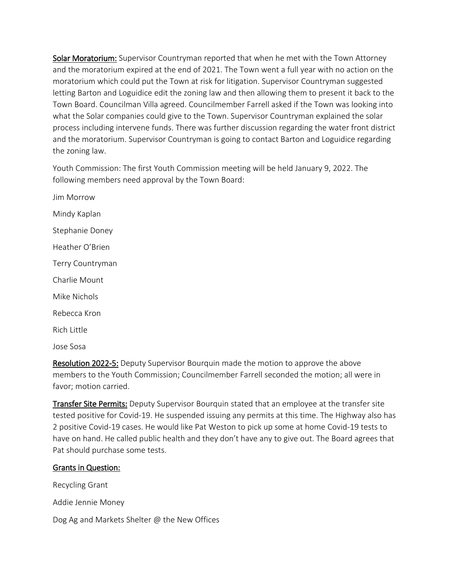Solar Moratorium: Supervisor Countryman reported that when he met with the Town Attorney and the moratorium expired at the end of 2021. The Town went a full year with no action on the moratorium which could put the Town at risk for litigation. Supervisor Countryman suggested letting Barton and Loguidice edit the zoning law and then allowing them to present it back to the Town Board. Councilman Villa agreed. Councilmember Farrell asked if the Town was looking into what the Solar companies could give to the Town. Supervisor Countryman explained the solar process including intervene funds. There was further discussion regarding the water front district and the moratorium. Supervisor Countryman is going to contact Barton and Loguidice regarding the zoning law.

Youth Commission: The first Youth Commission meeting will be held January 9, 2022. The following members need approval by the Town Board:

Jim Morrow Mindy Kaplan Stephanie Doney Heather O'Brien Terry Countryman Charlie Mount Mike Nichols Rebecca Kron Rich Little Jose Sosa

Resolution 2022-5: Deputy Supervisor Bourquin made the motion to approve the above members to the Youth Commission; Councilmember Farrell seconded the motion; all were in favor; motion carried.

Transfer Site Permits: Deputy Supervisor Bourquin stated that an employee at the transfer site tested positive for Covid-19. He suspended issuing any permits at this time. The Highway also has 2 positive Covid-19 cases. He would like Pat Weston to pick up some at home Covid-19 tests to have on hand. He called public health and they don't have any to give out. The Board agrees that Pat should purchase some tests.

#### Grants in Question:

Recycling Grant

Addie Jennie Money

Dog Ag and Markets Shelter @ the New Offices